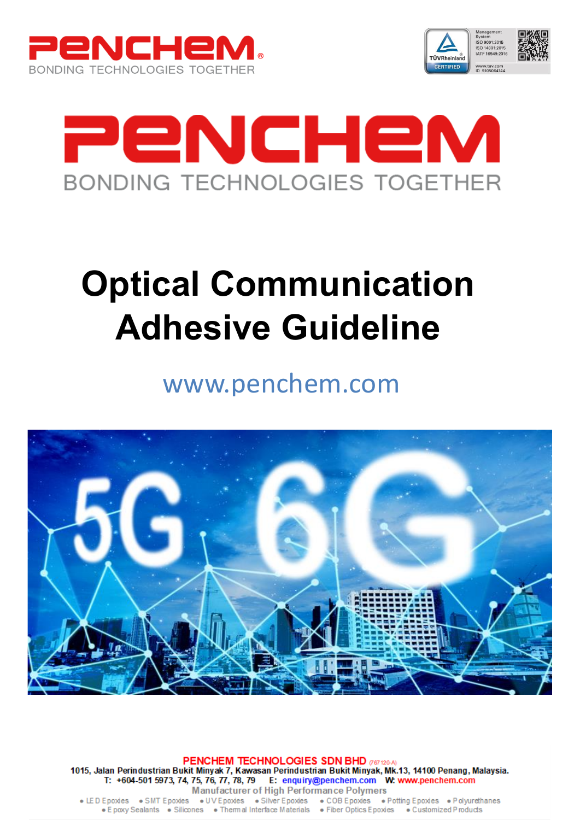





# **Optical Communication Adhesive Guideline**

# www.penchem.com



PENCHEM TECHNOLOGIES SDN BHD (767120-A) 1015, Jalan Perindustrian Bukit Minyak 7, Kawasan Perindustrian Bukit Minyak, Mk.13, 14100 Penang, Malaysia.<br>T: +604-501 5973, 74, 75, 76, 77, 78, 79 E: enquiry@penchem.com W: www.penchem.com **Manufacturer of High Performance Polymers** 

• LED Epoxies • SMT Epoxies • UV Epoxies • Silver Epoxies • COB Epoxies • Potting Epoxies • Polyurethanes • E poxy Sealants • Silicones • Thermal Interface Materials • Fiber Optics E poxies • Customized P roducts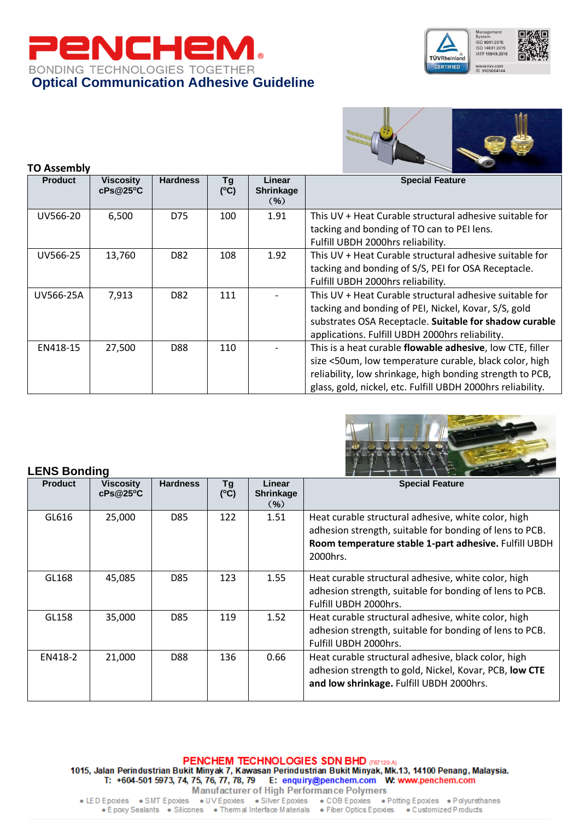





#### **TO Assembly Viscosity cPs@25<sup>o</sup>C Hardness ( <sup>o</sup>C) Linear Shrinkage** (**%**) **Special Feature** UV566-20 6.500 D75 100 1.91 This UV + Heat Curable structural adhesive suitable for tacking and bonding of TO can to PEI lens. Fulfill UBDH 2000hrs reliability. UV566-25 13,760 D82 108 1.92 This UV + Heat Curable structural adhesive suitable for tacking and bonding of S/S, PEI for OSA Receptacle. Fulfill UBDH 2000hrs reliability. UV566-25A 7.913  $\vert$  D82 111 - This UV + Heat Curable structural adhesive suitable for tacking and bonding of PEI, Nickel, Kovar, S/S, gold substrates OSA Receptacle. **Suitable for shadow curable** applications. Fulfill UBDH 2000hrs reliability. EN418-15 27,500 D88 110 - This is a heat curable **flowable adhesive**, low CTE, filler size <50um, low temperature curable, black color, high reliability, low shrinkage, high bonding strength to PCB, glass, gold, nickel, etc. Fulfill UBDH 2000hrs reliability.



#### **LENS Bonding**

| LENJ DUIJUIJU  |                              |                 |           |                                       |                                                                                                                                                                                     |
|----------------|------------------------------|-----------------|-----------|---------------------------------------|-------------------------------------------------------------------------------------------------------------------------------------------------------------------------------------|
| <b>Product</b> | <b>Viscosity</b><br>cPs@25°C | <b>Hardness</b> | Τg<br>(C) | Linear<br><b>Shrinkage</b><br>$(\% )$ | <b>Special Feature</b>                                                                                                                                                              |
| GL616          | 25,000                       | D85             | 122       | 1.51                                  | Heat curable structural adhesive, white color, high<br>adhesion strength, suitable for bonding of lens to PCB.<br>Room temperature stable 1-part adhesive. Fulfill UBDH<br>2000hrs. |
| GL168          | 45,085                       | D85             | 123       | 1.55                                  | Heat curable structural adhesive, white color, high<br>adhesion strength, suitable for bonding of lens to PCB.<br>Fulfill UBDH 2000hrs.                                             |
| GL158          | 35,000                       | D85             | 119       | 1.52                                  | Heat curable structural adhesive, white color, high<br>adhesion strength, suitable for bonding of lens to PCB.<br>Fulfill UBDH 2000hrs.                                             |
| EN418-2        | 21,000                       | D88             | 136       | 0.66                                  | Heat curable structural adhesive, black color, high<br>adhesion strength to gold, Nickel, Kovar, PCB, low CTE<br>and low shrinkage. Fulfill UBDH 2000hrs.                           |

PENCHEM TECHNOLOGIES SDN BHD (767120-A) 1015, Jalan Perindustrian Bukit Minyak 7, Kawasan Perindustrian Bukit Minyak, Mk.13, 14100 Penang, Malaysia. T: +604-501 5973, 74, 75, 76, 77, 78, 79 E: enquiry@penchem.com W: www.penchem.com **Manufacturer of High Performance Polymers**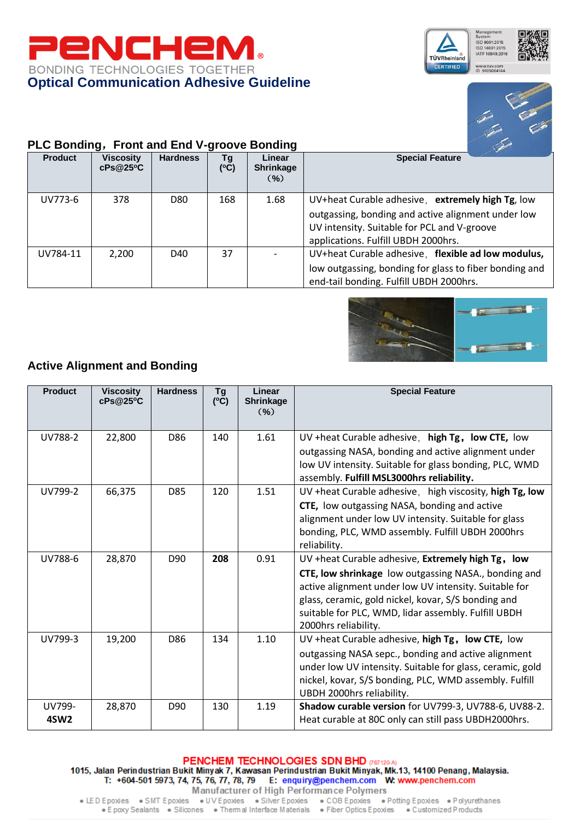





## **PLC Bonding**,**Front and End V-groove Bonding**

| <b>Product</b> | <b>Viscosity</b><br>cPs@25°C | <b>Hardness</b> | Τg<br>(C) | Linear<br><b>Shrinkage</b><br>$(\% )$ | <b>Special Feature</b>                                                                                                                                                                       |
|----------------|------------------------------|-----------------|-----------|---------------------------------------|----------------------------------------------------------------------------------------------------------------------------------------------------------------------------------------------|
| UV773-6        | 378                          | D80             | 168       | 1.68                                  | UV+heat Curable adhesive, extremely high Tg, low<br>outgassing, bonding and active alignment under low<br>UV intensity. Suitable for PCL and V-groove<br>applications. Fulfill UBDH 2000hrs. |
| UV784-11       | 2.200                        | D40             | 37        |                                       | UV+heat Curable adhesive, flexible ad low modulus,<br>low outgassing, bonding for glass to fiber bonding and<br>end-tail bonding. Fulfill UBDH 2000hrs.                                      |



# **Active Alignment and Bonding**

| <b>Product</b>             | <b>Viscosity</b><br>cPs@25°C | <b>Hardness</b> | <b>Tg</b><br>(C) | Linear<br><b>Shrinkage</b><br>( %) | <b>Special Feature</b>                                                                                                                                                                                                                                                                                   |
|----------------------------|------------------------------|-----------------|------------------|------------------------------------|----------------------------------------------------------------------------------------------------------------------------------------------------------------------------------------------------------------------------------------------------------------------------------------------------------|
| UV788-2                    | 22,800                       | D86             | 140              | 1.61                               | UV +heat Curable adhesive, high Tg, low CTE, low<br>outgassing NASA, bonding and active alignment under<br>low UV intensity. Suitable for glass bonding, PLC, WMD<br>assembly. Fulfill MSL3000hrs reliability.                                                                                           |
| UV799-2                    | 66,375                       | D85             | 120              | 1.51                               | UV +heat Curable adhesive, high viscosity, high Tg, low<br>CTE, low outgassing NASA, bonding and active<br>alignment under low UV intensity. Suitable for glass<br>bonding, PLC, WMD assembly. Fulfill UBDH 2000hrs<br>reliability.                                                                      |
| UV788-6                    | 28,870                       | D <sub>90</sub> | 208              | 0.91                               | UV +heat Curable adhesive, Extremely high Tg, low<br>CTE, low shrinkage low outgassing NASA., bonding and<br>active alignment under low UV intensity. Suitable for<br>glass, ceramic, gold nickel, kovar, S/S bonding and<br>suitable for PLC, WMD, lidar assembly. Fulfill UBDH<br>2000hrs reliability. |
| UV799-3                    | 19,200                       | D86             | 134              | 1.10                               | UV +heat Curable adhesive, high Tg, low CTE, low<br>outgassing NASA sepc., bonding and active alignment<br>under low UV intensity. Suitable for glass, ceramic, gold<br>nickel, kovar, S/S bonding, PLC, WMD assembly. Fulfill<br>UBDH 2000hrs reliability.                                              |
| UV799-<br>4SW <sub>2</sub> | 28,870                       | D <sub>90</sub> | 130              | 1.19                               | Shadow curable version for UV799-3, UV788-6, UV88-2.<br>Heat curable at 80C only can still pass UBDH2000hrs.                                                                                                                                                                                             |

PENCHEM TECHNOLOGIES SDN BHD (187120-A) 1015, Jalan Perindustrian Bukit Minyak 7, Kawasan Perindustrian Bukit Minyak, Mk.13, 14100 Penang, Malaysia.<br>T: +604-501 5973, 74, 75, 76, 77, 78, 79 E: enquiry@penchem.com W: www.penchem.com Manufacturer of High Performance Polymers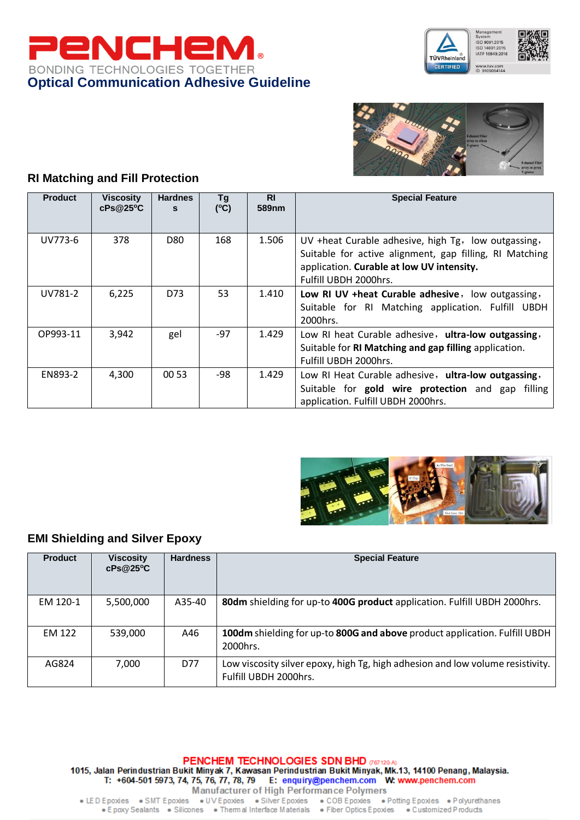





### **RI Matching and Fill Protection**

| <b>Product</b> | Viscosity<br>cPs@25°C | <b>Hardnes</b><br>s | Tg<br>(C) | <b>RI</b><br>589nm | <b>Special Feature</b>                                                                                                                                                               |
|----------------|-----------------------|---------------------|-----------|--------------------|--------------------------------------------------------------------------------------------------------------------------------------------------------------------------------------|
| UV773-6        | 378                   | D80                 | 168       | 1.506              | UV +heat Curable adhesive, high Tg, low outgassing,<br>Suitable for active alignment, gap filling, RI Matching<br>application. Curable at low UV intensity.<br>Fulfill UBDH 2000hrs. |
| UV781-2        | 6,225                 | D73                 | 53        | 1.410              | Low RI UV + heat Curable adhesive, low outgassing,<br>Suitable for RI Matching application. Fulfill UBDH<br>2000hrs.                                                                 |
| OP993-11       | 3,942                 | gel                 | $-97$     | 1.429              | Low RI heat Curable adhesive, ultra-low outgassing,<br>Suitable for RI Matching and gap filling application.<br>Fulfill UBDH 2000hrs.                                                |
| EN893-2        | 4,300                 | 00 53               | -98       | 1.429              | Low RI Heat Curable adhesive, ultra-low outgassing,<br>Suitable for <b>gold wire protection</b> and gap filling<br>application. Fulfill UBDH 2000hrs.                                |



#### **EMI Shielding and Silver Epoxy**

| <b>Product</b> | <b>Viscosity</b><br>cPs@25°C | <b>Hardness</b> | <b>Special Feature</b>                                                                                  |
|----------------|------------------------------|-----------------|---------------------------------------------------------------------------------------------------------|
| EM 120-1       | 5,500,000                    | A35-40          | 80dm shielding for up-to 400G product application. Fulfill UBDH 2000hrs.                                |
| EM 122         | 539.000                      | A46             | 100dm shielding for up-to 800G and above product application. Fulfill UBDH  <br>2000hrs.                |
| AG824          | 7,000                        | D77             | Low viscosity silver epoxy, high Tg, high adhesion and low volume resistivity.<br>Fulfill UBDH 2000hrs. |

PENCHEM TECHNOLOGIES SDN BHD (187120-A) 1015, Jalan Perindustrian Bukit Minyak 7, Kawasan Perindustrian Bukit Minyak, Mk.13, 14100 Penang, Malaysia.<br>T: +604-501 5973, 74, 75, 76, 77, 78, 79 E: enquiry@penchem.com W: www.penchem.com Manufacturer of High Performance Polymers